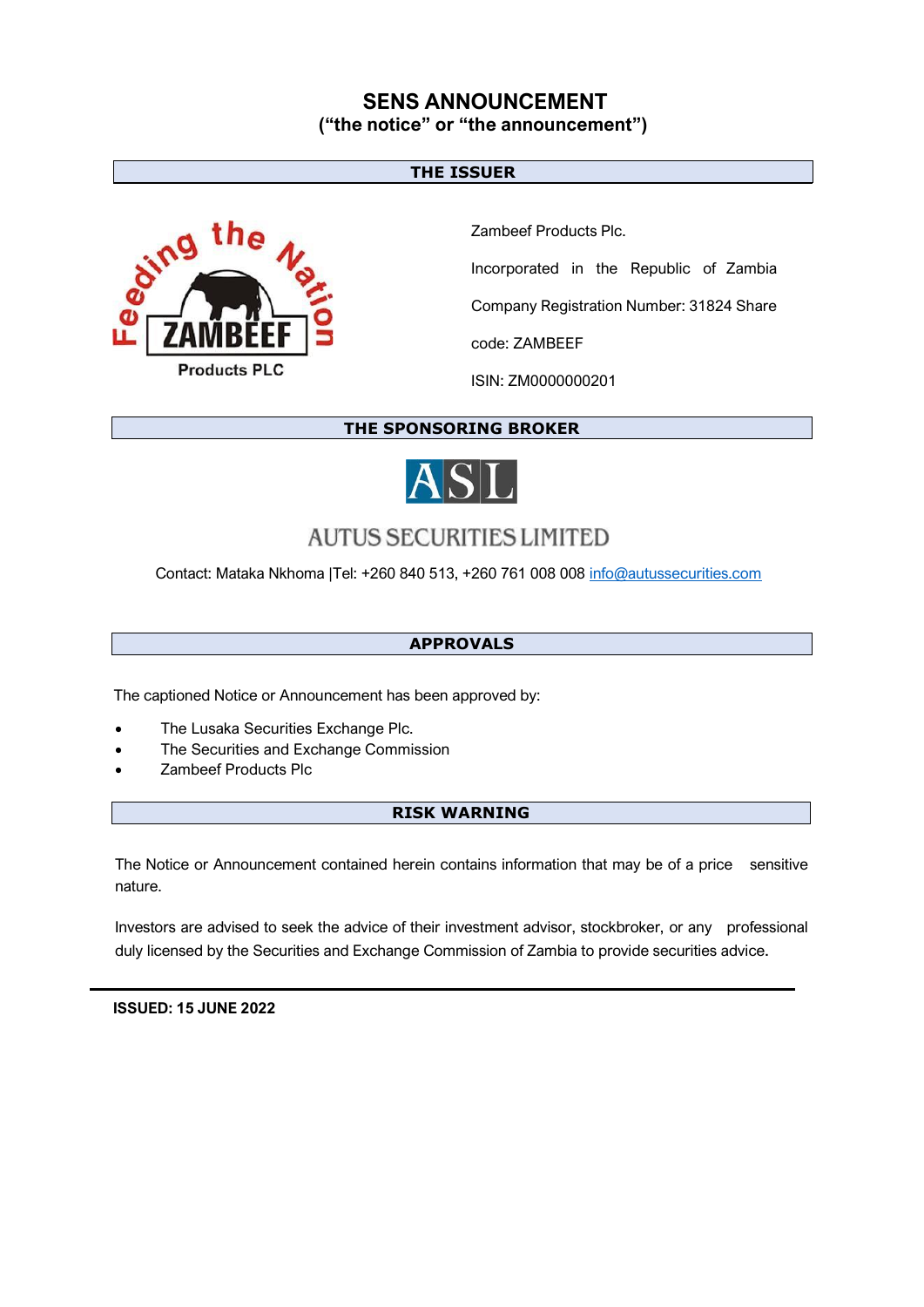### **SENS ANNOUNCEMENT ("the notice" or "the announcement")**

### **THE ISSUER**



Zambeef Products Plc.

Incorporated in the Republic of Zambia

Company Registration Number: 31824 Share

code: ZAMBEEF

ISIN: ZM0000000201

**THE SPONSORING BROKER**



# **AUTUS SECURITIES LIMITED**

Contact: Mataka Nkhoma |Tel: +260 840 513, +260 761 008 008 [info@autussecurities.com](mailto:info@autussecurities.com)

### **APPROVALS**

The captioned Notice or Announcement has been approved by:

- The Lusaka Securities Exchange Plc.
- The Securities and Exchange Commission
- Zambeef Products Plc

### **RISK WARNING**

The Notice or Announcement contained herein contains information that may be of a price sensitive nature.

Investors are advised to seek the advice of their investment advisor, stockbroker, or any professional duly licensed by the Securities and Exchange Commission of Zambia to provide securities advice.

 **ISSUED: 15 JUNE 2022**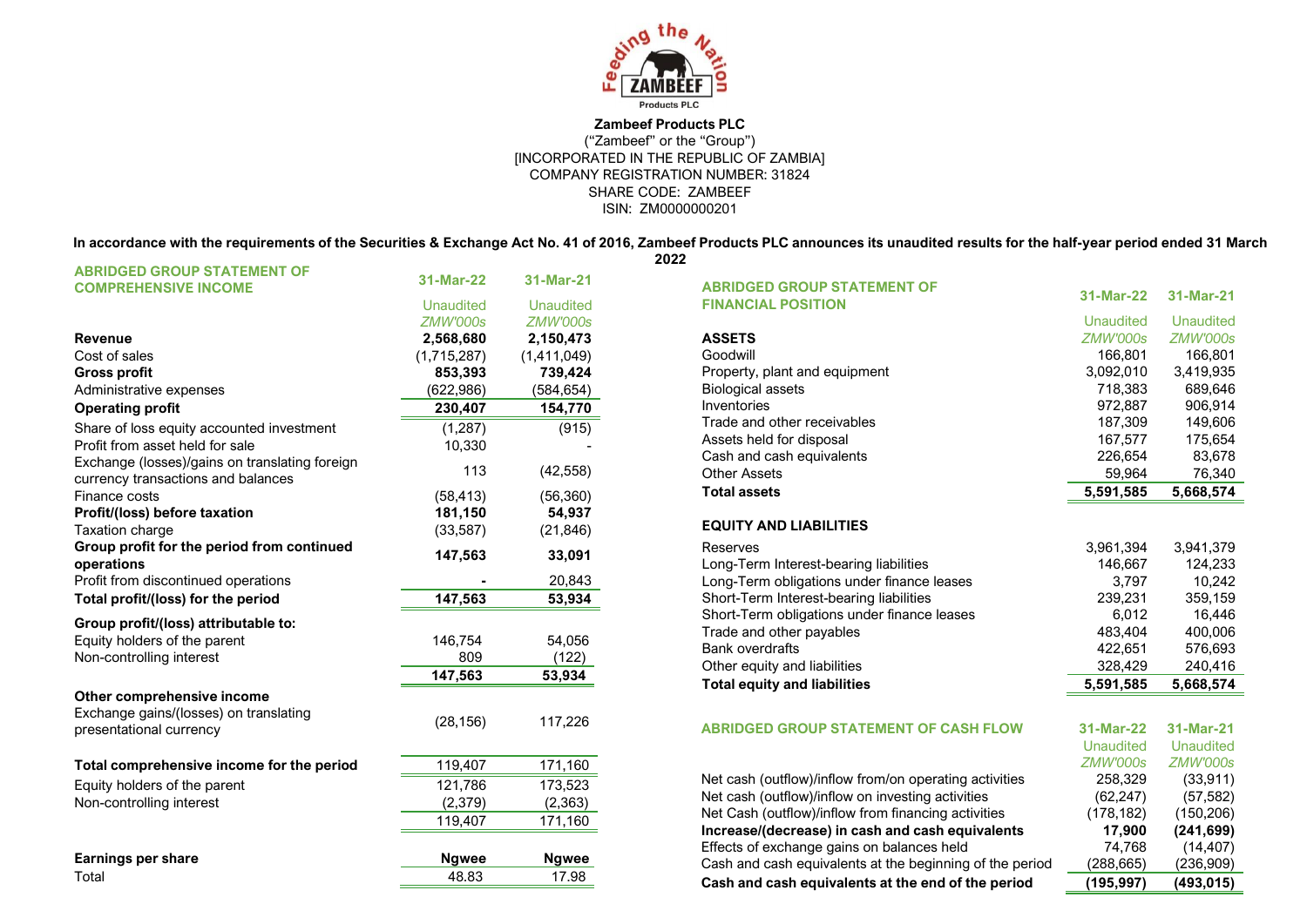

#### **Zambeef Products PLC** ("Zambeef" or the "Group") [INCORPORATED IN THE REPUBLIC OF ZAMBIA] COMPANY REGISTRATION NUMBER: 31824 SHARE CODE: ZAMBEEF ISIN: ZM0000000201

**In accordance with the requirements of the Securities & Exchange Act No. 41 of 2016, Zambeef Products PLC announces its unaudited results for the half-year period ended 31 March 2022**

| <b>ABRIDGED GROUP STATEMENT OF</b><br><b>COMPREHENSIVE INCOME</b>                    | 31-Mar-22             | 31-Mar-21             |
|--------------------------------------------------------------------------------------|-----------------------|-----------------------|
|                                                                                      | <b>Unaudited</b>      | <b>Unaudited</b>      |
|                                                                                      | ZMW'000s              | ZMW'000s              |
| <b>Revenue</b>                                                                       | 2,568,680             | 2,150,473             |
| Cost of sales                                                                        | (1,715,287)           | (1,411,049)           |
| <b>Gross profit</b>                                                                  | 853,393               | 739,424               |
| Administrative expenses                                                              | (622, 986)            | (584, 654)            |
| <b>Operating profit</b>                                                              | 230,407               | 154,770               |
| Share of loss equity accounted investment                                            | (1, 287)              | (915)                 |
| Profit from asset held for sale                                                      | 10.330                |                       |
| Exchange (losses)/gains on translating foreign<br>currency transactions and balances | 113                   | (42, 558)             |
| Finance costs                                                                        | (58, 413)             | (56, 360)             |
| Profit/(loss) before taxation                                                        | 181,150               | 54,937                |
| <b>Taxation charge</b>                                                               | (33, 587)             | (21, 846)             |
| Group profit for the period from continued<br>operations                             | 147,563               | 33,091                |
| Profit from discontinued operations                                                  |                       | 20,843                |
| Total profit/(loss) for the period                                                   | 147,563               | 53,934                |
| Group profit/(loss) attributable to:                                                 |                       |                       |
| Equity holders of the parent                                                         | 146,754               | 54,056                |
| Non-controlling interest                                                             | 809                   | (122)                 |
|                                                                                      | 147,563               | 53,934                |
| Other comprehensive income                                                           |                       |                       |
| Exchange gains/(losses) on translating<br>presentational currency                    | (28, 156)             | 117,226               |
|                                                                                      |                       |                       |
| Total comprehensive income for the period                                            | 119,407               | 171,160               |
| Equity holders of the parent                                                         | 121,786               | 173,523               |
| Non-controlling interest                                                             | (2, 379)              | (2, 363)              |
|                                                                                      | 119,407               | 171,160               |
|                                                                                      |                       |                       |
| <b>Earnings per share</b>                                                            |                       |                       |
|                                                                                      | <b>Ngwee</b><br>48.83 | <b>Ngwee</b><br>17.98 |

| <b>ABRIDGED GROUP STATEMENT OF</b><br><b>FINANCIAL POSITION</b> | 31-Mar-22        | 31-Mar-21        |
|-----------------------------------------------------------------|------------------|------------------|
|                                                                 | <b>Unaudited</b> | <b>Unaudited</b> |
| <b>ASSETS</b>                                                   | <b>ZMW'000s</b>  | ZMW'000s         |
| Goodwill                                                        | 166,801          | 166,801          |
| Property, plant and equipment                                   | 3,092,010        | 3,419,935        |
| <b>Biological assets</b>                                        | 718,383          | 689,646          |
| Inventories                                                     | 972,887          | 906,914          |
| Trade and other receivables                                     | 187,309          | 149,606          |
| Assets held for disposal                                        | 167,577          | 175,654          |
| Cash and cash equivalents                                       | 226,654          | 83,678           |
| <b>Other Assets</b>                                             | 59,964           | 76,340           |
| <b>Total assets</b>                                             | 5,591,585        | 5,668,574        |
| <b>EQUITY AND LIABILITIES</b>                                   |                  |                  |
| Reserves                                                        | 3,961,394        | 3,941,379        |
| Long-Term Interest-bearing liabilities                          | 146,667          | 124,233          |
| Long-Term obligations under finance leases                      | 3,797            | 10,242           |
| Short-Term Interest-bearing liabilities                         | 239,231          | 359,159          |
| Short-Term obligations under finance leases                     | 6,012            | 16,446           |
| Trade and other payables                                        | 483,404          | 400,006          |
| <b>Bank overdrafts</b>                                          | 422,651          | 576,693          |
| Other equity and liabilities                                    | 328,429          | 240,416          |
| <b>Total equity and liabilities</b>                             | 5,591,585        | 5,668,574        |
|                                                                 |                  |                  |
| <b>ABRIDGED GROUP STATEMENT OF CASH FLOW</b>                    | 31-Mar-22        | 31-Mar-21        |
|                                                                 | <b>Unaudited</b> | <b>Unaudited</b> |
|                                                                 | <b>ZMW'000s</b>  | <b>ZMW'000s</b>  |
| Net cash (outflow)/inflow from/on operating activities          | 258,329          | (33, 911)        |
| Net cash (outflow)/inflow on investing activities               | (62, 247)        | (57, 582)        |
| Net Cash (outflow)/inflow from financing activities             | (178, 182)       | (150, 206)       |
| Increase/(decrease) in cash and cash equivalents                | 17,900           | (241, 699)       |
| Effects of exchange gains on balances held                      | 74,768           | (14, 407)        |
| Cash and cash equivalents at the beginning of the period        | (288, 665)       | (236, 909)       |
| Cash and cash equivalents at the end of the period              | (195,997)        | (493,015)        |
|                                                                 |                  |                  |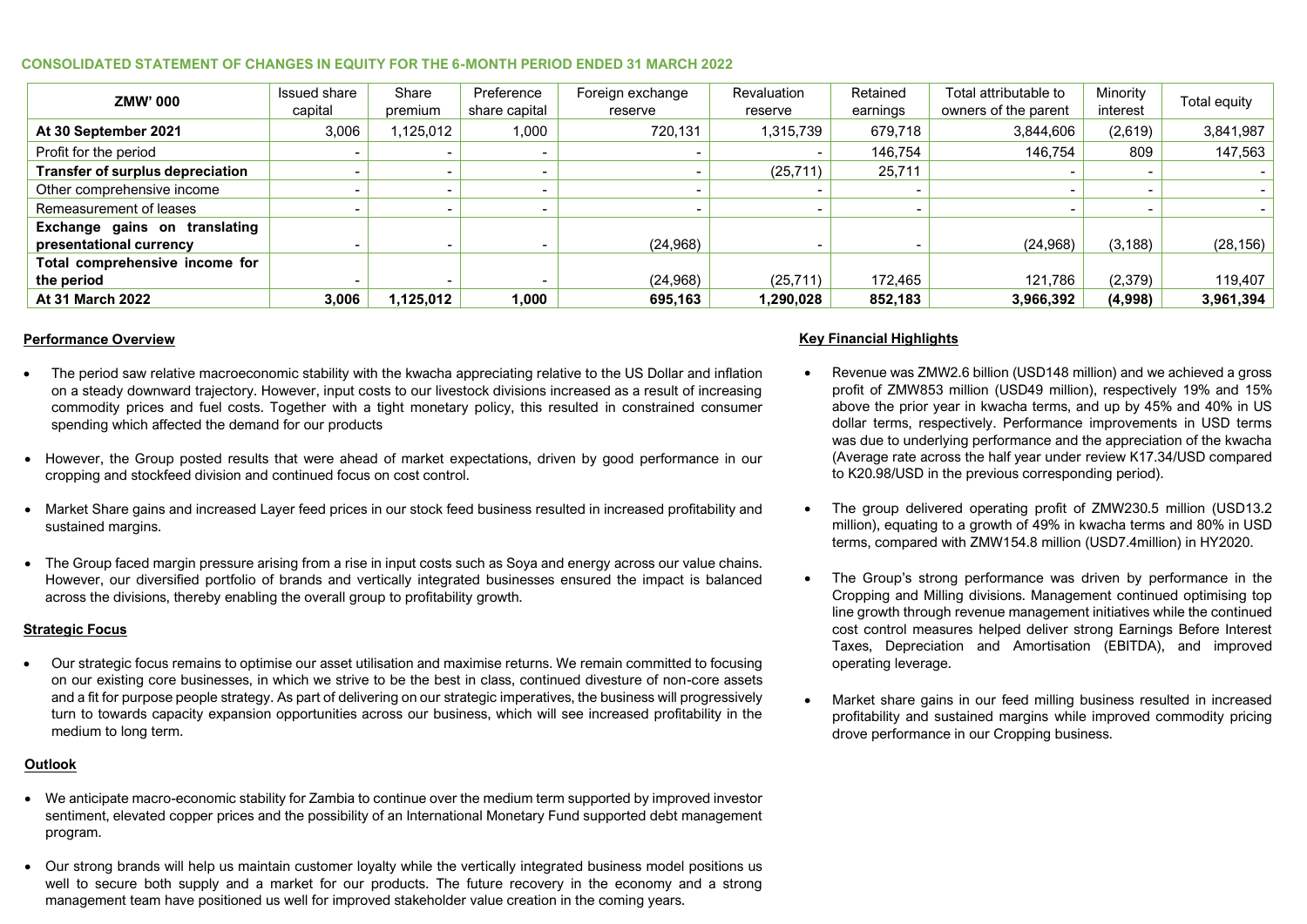#### **CONSOLIDATED STATEMENT OF CHANGES IN EQUITY FOR THE 6-MONTH PERIOD ENDED 31 MARCH 2022**

| ZMW'000                                                  | Issued share<br>capital | Share<br>premium | Preference<br>share capital | Foreign exchange<br>reserve | Revaluation<br>reserve | Retained<br>earnings | Total attributable to<br>owners of the parent | Minority<br>interest | Total equity |
|----------------------------------------------------------|-------------------------|------------------|-----------------------------|-----------------------------|------------------------|----------------------|-----------------------------------------------|----------------------|--------------|
| At 30 September 2021                                     | 3,006                   | 1,125,012        | 1,000                       | 720,131                     | 1,315,739              | 679,718              | 3,844,606                                     | (2,619)              | 3,841,987    |
| Profit for the period                                    |                         |                  |                             |                             |                        | 146,754              | 146,754                                       | 809                  | 147,563      |
| <b>Transfer of surplus depreciation</b>                  |                         |                  |                             |                             | (25, 711)              | 25,711               |                                               |                      |              |
| Other comprehensive income                               |                         |                  |                             |                             |                        |                      |                                               |                      |              |
| Remeasurement of leases                                  |                         |                  |                             |                             |                        |                      |                                               |                      |              |
| Exchange gains on translating<br>presentational currency |                         |                  |                             | (24, 968)                   |                        |                      | (24, 968)                                     | (3, 188)             | (28, 156)    |
| Total comprehensive income for                           |                         |                  |                             |                             |                        |                      |                                               |                      |              |
| the period                                               |                         |                  |                             | (24, 968)                   | (25, 711)              | 172,465              | 121.786                                       | (2,379)              | 119.407      |
| At 31 March 2022                                         | 3,006                   | 1,125,012        | 1.000                       | 695,163                     | 1,290,028              | 852,183              | 3,966,392                                     | (4,998)              | 3,961,394    |

#### **Performance Overview**

- The period saw relative macroeconomic stability with the kwacha appreciating relative to the US Dollar and inflation on a steady downward trajectory. However, input costs to our livestock divisions increased as a result of increasing commodity prices and fuel costs. Together with a tight monetary policy, this resulted in constrained consumer spending which affected the demand for our products
- However, the Group posted results that were ahead of market expectations, driven by good performance in our cropping and stockfeed division and continued focus on cost control.
- Market Share gains and increased Layer feed prices in our stock feed business resulted in increased profitability and sustained margins.
- The Group faced margin pressure arising from a rise in input costs such as Soya and energy across our value chains. However, our diversified portfolio of brands and vertically integrated businesses ensured the impact is balanced across the divisions, thereby enabling the overall group to profitability growth.

#### **Strategic Focus**

• Our strategic focus remains to optimise our asset utilisation and maximise returns. We remain committed to focusing on our existing core businesses, in which we strive to be the best in class, continued divesture of non-core assets and a fit for purpose people strategy. As part of delivering on our strategic imperatives, the business will progressively turn to towards capacity expansion opportunities across our business, which will see increased profitability in the medium to long term.

#### **Outlook**

- We anticipate macro-economic stability for Zambia to continue over the medium term supported by improved investor sentiment, elevated copper prices and the possibility of an International Monetary Fund supported debt management program.
- Our strong brands will help us maintain customer loyalty while the vertically integrated business model positions us well to secure both supply and a market for our products. The future recovery in the economy and a strong management team have positioned us well for improved stakeholder value creation in the coming years.

#### **Key Financial Highlights**

- Revenue was ZMW2.6 billion (USD148 million) and we achieved a gross profit of ZMW853 million (USD49 million), respectively 19% and 15% above the prior year in kwacha terms, and up by 45% and 40% in US dollar terms, respectively. Performance improvements in USD terms was due to underlying performance and the appreciation of the kwacha (Average rate across the half year under review K17.34/USD compared to K20.98/USD in the previous corresponding period).
- The group delivered operating profit of ZMW230.5 million (USD13.2 million), equating to a growth of 49% in kwacha terms and 80% in USD terms, compared with ZMW154.8 million (USD7.4million) in HY2020.
- The Group's strong performance was driven by performance in the Cropping and Milling divisions. Management continued optimising top line growth through revenue management initiatives while the continued cost control measures helped deliver strong Earnings Before Interest Taxes, Depreciation and Amortisation (EBITDA), and improved operating leverage.
- Market share gains in our feed milling business resulted in increased profitability and sustained margins while improved commodity pricing drove performance in our Cropping business.